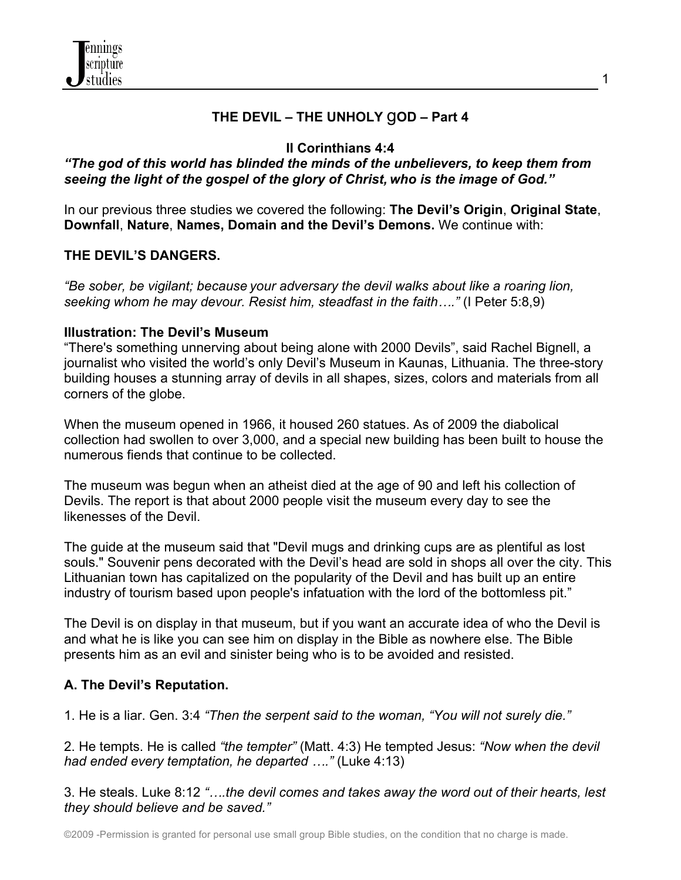

## **THE DEVIL – THE UNHOLY** g**OD – Part 4**

## **II Corinthians 4:4**

## *"The god of this world has blinded the minds of the unbelievers, to keep them from seeing the light of the gospel of the glory of Christ, who is the image of God."*

In our previous three studies we covered the following: **The Devil's Origin**, **Original State**, **Downfall**, **Nature**, **Names, Domain and the Devil's Demons.** We continue with:

## **THE DEVIL'S DANGERS.**

*"Be sober, be vigilant; because your adversary the devil walks about like a roaring lion, seeking whom he may devour. Resist him, steadfast in the faith…."* (I Peter 5:8,9)

#### **Illustration: The Devil's Museum**

"There's something unnerving about being alone with 2000 Devils", said Rachel Bignell, a journalist who visited the world's only Devil's Museum in Kaunas, Lithuania. The three-story building houses a stunning array of devils in all shapes, sizes, colors and materials from all corners of the globe.

When the museum opened in 1966, it housed 260 statues. As of 2009 the diabolical collection had swollen to over 3,000, and a special new building has been built to house the numerous fiends that continue to be collected.

The museum was begun when an atheist died at the age of 90 and left his collection of Devils. The report is that about 2000 people visit the museum every day to see the likenesses of the Devil.

The guide at the museum said that "Devil mugs and drinking cups are as plentiful as lost souls." Souvenir pens decorated with the Devil's head are sold in shops all over the city. This Lithuanian town has capitalized on the popularity of the Devil and has built up an entire industry of tourism based upon people's infatuation with the lord of the bottomless pit."

The Devil is on display in that museum, but if you want an accurate idea of who the Devil is and what he is like you can see him on display in the Bible as nowhere else. The Bible presents him as an evil and sinister being who is to be avoided and resisted.

### **A. The Devil's Reputation.**

1. He is a liar. Gen. 3:4 *"Then the serpent said to the woman, "You will not surely die."*

2. He tempts. He is called *"the tempter"* (Matt. 4:3) He tempted Jesus: *"Now when the devil had ended every temptation, he departed …."* (Luke 4:13)

3. He steals. Luke 8:12 *"….the devil comes and takes away the word out of their hearts, lest they should believe and be saved."*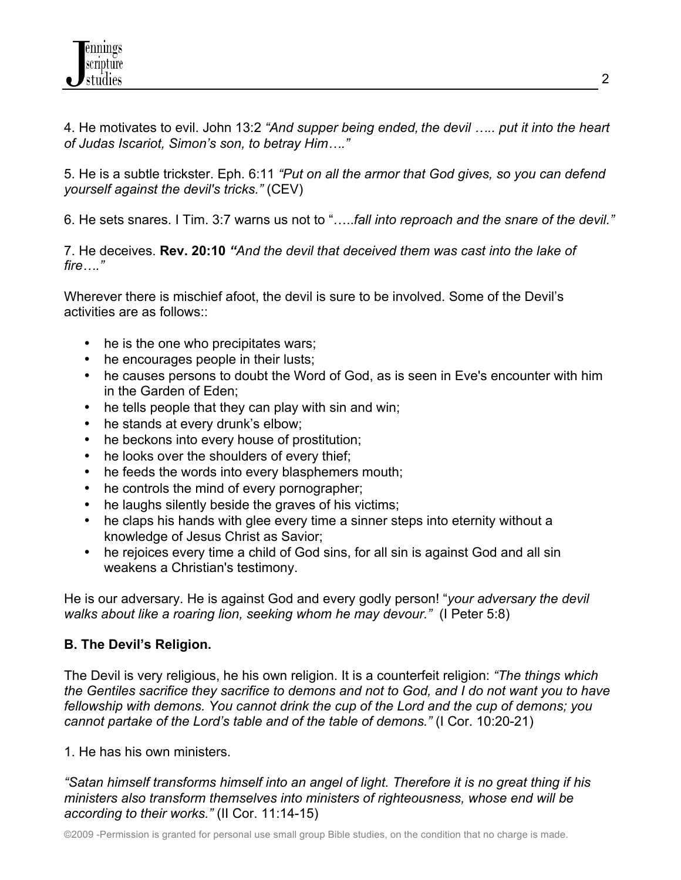4. He motivates to evil. John 13:2 *"And supper being ended, the devil ….. put it into the heart of Judas Iscariot, Simon's son, to betray Him…."*

5. He is a subtle trickster. Eph. 6:11 *"Put on all the armor that God gives, so you can defend yourself against the devil's tricks."* (CEV)

6. He sets snares. I Tim. 3:7 warns us not to "…..*fall into reproach and the snare of the devil."*

7. He deceives. **Rev. 20:10** *"And the devil that deceived them was cast into the lake of fire…."*

Wherever there is mischief afoot, the devil is sure to be involved. Some of the Devil's activities are as follows::

- he is the one who precipitates wars;
- he encourages people in their lusts;
- he causes persons to doubt the Word of God, as is seen in Eve's encounter with him in the Garden of Eden;
- he tells people that they can play with sin and win;
- he stands at every drunk's elbow;
- he beckons into every house of prostitution;
- he looks over the shoulders of every thief;
- he feeds the words into every blasphemers mouth;
- he controls the mind of every pornographer;
- he laughs silently beside the graves of his victims;
- he claps his hands with glee every time a sinner steps into eternity without a knowledge of Jesus Christ as Savior;
- he rejoices every time a child of God sins, for all sin is against God and all sin weakens a Christian's testimony.

He is our adversary. He is against God and every godly person! "*your adversary the devil walks about like a roaring lion, seeking whom he may devour."* (I Peter 5:8)

# **B. The Devil's Religion.**

The Devil is very religious, he his own religion. It is a counterfeit religion: *"The things which the Gentiles sacrifice they sacrifice to demons and not to God, and I do not want you to have fellowship with demons. You cannot drink the cup of the Lord and the cup of demons; you cannot partake of the Lord's table and of the table of demons."* (I Cor. 10:20-21)

1. He has his own ministers.

*"Satan himself transforms himself into an angel of light. Therefore it is no great thing if his ministers also transform themselves into ministers of righteousness, whose end will be according to their works."* (II Cor. 11:14-15)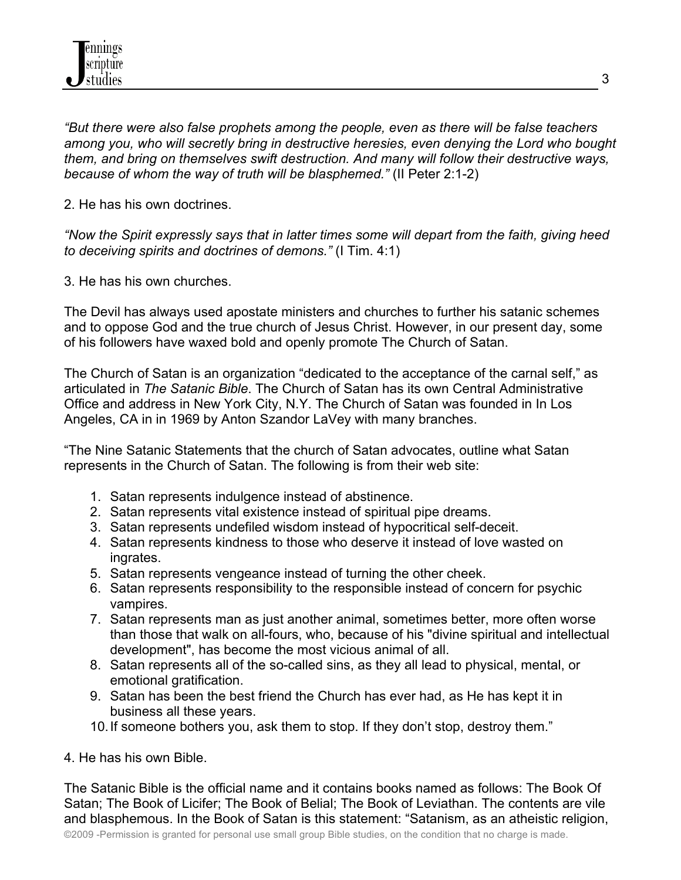*"But there were also false prophets among the people, even as there will be false teachers among you, who will secretly bring in destructive heresies, even denying the Lord who bought them, and bring on themselves swift destruction. And many will follow their destructive ways, because of whom the way of truth will be blasphemed."* (II Peter 2:1-2)

2. He has his own doctrines.

*"Now the Spirit expressly says that in latter times some will depart from the faith, giving heed to deceiving spirits and doctrines of demons."* (I Tim. 4:1)

3. He has his own churches.

The Devil has always used apostate ministers and churches to further his satanic schemes and to oppose God and the true church of Jesus Christ. However, in our present day, some of his followers have waxed bold and openly promote The Church of Satan.

The Church of Satan is an organization "dedicated to the acceptance of the carnal self," as articulated in *The Satanic Bible*. The Church of Satan has its own Central Administrative Office and address in New York City, N.Y. The Church of Satan was founded in In Los Angeles, CA in in 1969 by Anton Szandor LaVey with many branches.

"The Nine Satanic Statements that the church of Satan advocates, outline what Satan represents in the Church of Satan. The following is from their web site:

- 1. Satan represents indulgence instead of abstinence.
- 2. Satan represents vital existence instead of spiritual pipe dreams.
- 3. Satan represents undefiled wisdom instead of hypocritical self-deceit.
- 4. Satan represents kindness to those who deserve it instead of love wasted on ingrates.
- 5. Satan represents vengeance instead of turning the other cheek.
- 6. Satan represents responsibility to the responsible instead of concern for psychic vampires.
- 7. Satan represents man as just another animal, sometimes better, more often worse than those that walk on all-fours, who, because of his "divine spiritual and intellectual development", has become the most vicious animal of all.
- 8. Satan represents all of the so-called sins, as they all lead to physical, mental, or emotional gratification.
- 9. Satan has been the best friend the Church has ever had, as He has kept it in business all these years.
- 10.If someone bothers you, ask them to stop. If they don't stop, destroy them."

4. He has his own Bible.

The Satanic Bible is the official name and it contains books named as follows: The Book Of Satan; The Book of Licifer; The Book of Belial; The Book of Leviathan. The contents are vile and blasphemous. In the Book of Satan is this statement: "Satanism, as an atheistic religion,